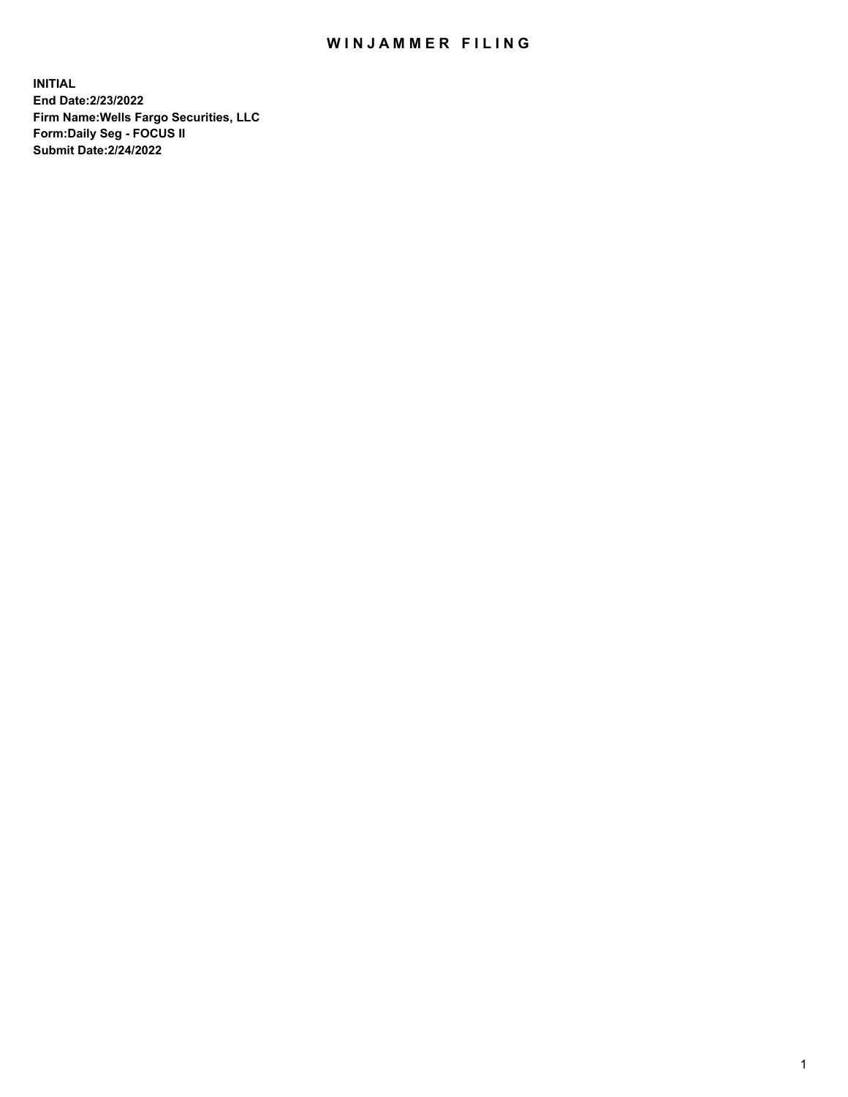## WIN JAMMER FILING

**INITIAL End Date:2/23/2022 Firm Name:Wells Fargo Securities, LLC Form:Daily Seg - FOCUS II Submit Date:2/24/2022**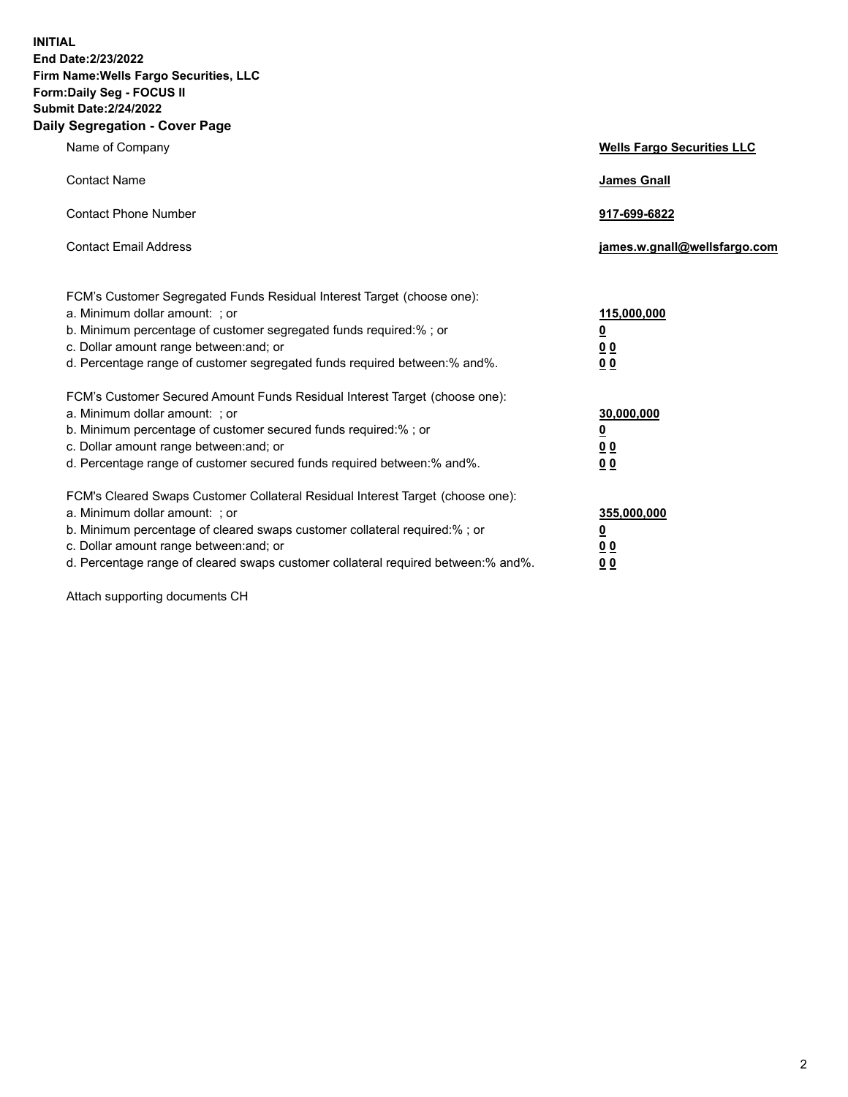**INITIAL End Date:2/23/2022 Firm Name:Wells Fargo Securities, LLC Form:Daily Seg - FOCUS II Submit Date:2/24/2022 Daily Segregation - Cover Page**

| Name of Company                                                                                                                                                                                                                                                                                                               | <b>Wells Fargo Securities LLC</b>                          |
|-------------------------------------------------------------------------------------------------------------------------------------------------------------------------------------------------------------------------------------------------------------------------------------------------------------------------------|------------------------------------------------------------|
| <b>Contact Name</b>                                                                                                                                                                                                                                                                                                           | <b>James Gnall</b>                                         |
| <b>Contact Phone Number</b>                                                                                                                                                                                                                                                                                                   | 917-699-6822                                               |
| <b>Contact Email Address</b>                                                                                                                                                                                                                                                                                                  | james.w.gnall@wellsfargo.com                               |
| FCM's Customer Segregated Funds Residual Interest Target (choose one):<br>a. Minimum dollar amount: ; or<br>b. Minimum percentage of customer segregated funds required:% ; or<br>c. Dollar amount range between: and; or<br>d. Percentage range of customer segregated funds required between:% and%.                        | 115,000,000<br><u>0</u><br>0 <sub>0</sub><br>00            |
| FCM's Customer Secured Amount Funds Residual Interest Target (choose one):<br>a. Minimum dollar amount: ; or<br>b. Minimum percentage of customer secured funds required:%; or<br>c. Dollar amount range between: and; or<br>d. Percentage range of customer secured funds required between: % and %.                         | 30,000,000<br><u>0</u><br>0 <sub>0</sub><br>0 <sub>0</sub> |
| FCM's Cleared Swaps Customer Collateral Residual Interest Target (choose one):<br>a. Minimum dollar amount: ; or<br>b. Minimum percentage of cleared swaps customer collateral required:%; or<br>c. Dollar amount range between: and; or<br>d. Percentage range of cleared swaps customer collateral required between:% and%. | 355,000,000<br><u>0</u><br>00<br>00                        |

Attach supporting documents CH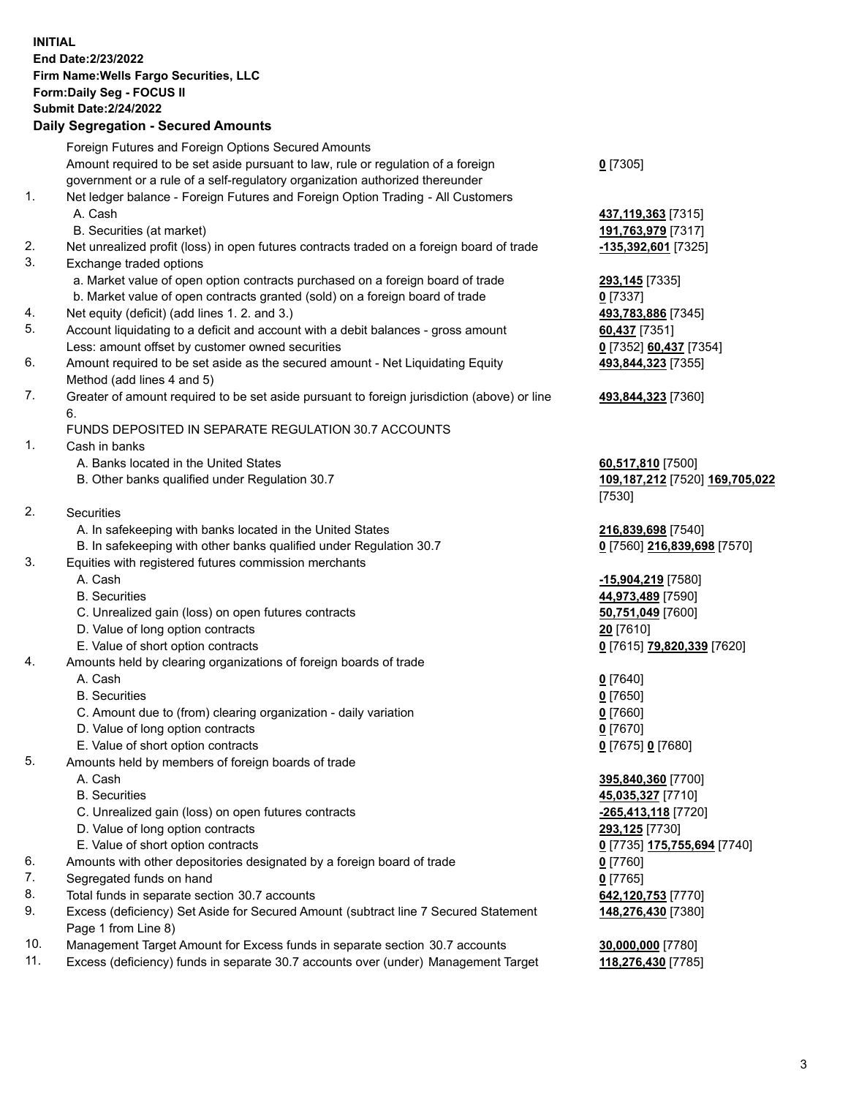**INITIAL End Date:2/23/2022 Firm Name:Wells Fargo Securities, LLC Form:Daily Seg - FOCUS II Submit Date:2/24/2022 Daily Segregation - Secured Amounts** Foreign Futures and Foreign Options Secured Amounts Amount required to be set aside pursuant to law, rule or regulation of a foreign government or a rule of a self-regulatory organization authorized thereunder 1. Net ledger balance - Foreign Futures and Foreign Option Trading - All Customers A. Cash **437,119,363** [7315] B. Securities (at market) **191,763,979** [7317] 2. Net unrealized profit (loss) in open futures contracts traded on a foreign board of trade **-135,392,601** [7325] 3. Exchange traded options a. Market value of open option contracts purchased on a foreign board of trade **293,145** [7335] b. Market value of open contracts granted (sold) on a foreign board of trade **0** [7337] 4. Net equity (deficit) (add lines 1. 2. and 3.) **493,783,886** [7345] 5. Account liquidating to a deficit and account with a debit balances - gross amount **60,437** [7351] Less: amount offset by customer owned securities **0** [7352] **60,437** [7354] 6. Amount required to be set aside as the secured amount - Net Liquidating Equity Method (add lines 4 and 5) 7. Greater of amount required to be set aside pursuant to foreign jurisdiction (above) or line 6. FUNDS DEPOSITED IN SEPARATE REGULATION 30.7 ACCOUNTS 1. Cash in banks A. Banks located in the United States **60,517,810** [7500] B. Other banks qualified under Regulation 30.7 **109,187,212** [7520] **169,705,022** 2. Securities A. In safekeeping with banks located in the United States **216,839,698** [7540] B. In safekeeping with other banks qualified under Regulation 30.7 **0** [7560] **216,839,698** [7570] 3. Equities with registered futures commission merchants A. Cash **-15,904,219** [7580] B. Securities **44,973,489** [7590] C. Unrealized gain (loss) on open futures contracts **50,751,049** [7600] D. Value of long option contracts **20** [7610] E. Value of short option contracts **0** [7615] **79,820,339** [7620] 4. Amounts held by clearing organizations of foreign boards of trade A. Cash **0** [7640]

- B. Securities **0** [7650]
- C. Amount due to (from) clearing organization daily variation **0** [7660]
- D. Value of long option contracts **0** [7670]
- E. Value of short option contracts **0** [7675] **0** [7680]
- 5. Amounts held by members of foreign boards of trade
	-
	-
	- C. Unrealized gain (loss) on open futures contracts **-265,413,118** [7720]
	- D. Value of long option contracts **293,125** [7730]
	- E. Value of short option contracts **0** [7735] **175,755,694** [7740]
- 6. Amounts with other depositories designated by a foreign board of trade **0** [7760]
- 7. Segregated funds on hand **0** [7765]
- 8. Total funds in separate section 30.7 accounts **642,120,753** [7770]
- 9. Excess (deficiency) Set Aside for Secured Amount (subtract line 7 Secured Statement Page 1 from Line 8)
- 10. Management Target Amount for Excess funds in separate section 30.7 accounts **30,000,000** [7780]
- 11. Excess (deficiency) funds in separate 30.7 accounts over (under) Management Target **118,276,430** [7785]

**0** [7305]

**493,844,323** [7355]

## **493,844,323** [7360]

[7530]

 A. Cash **395,840,360** [7700] B. Securities **45,035,327** [7710] **148,276,430** [7380]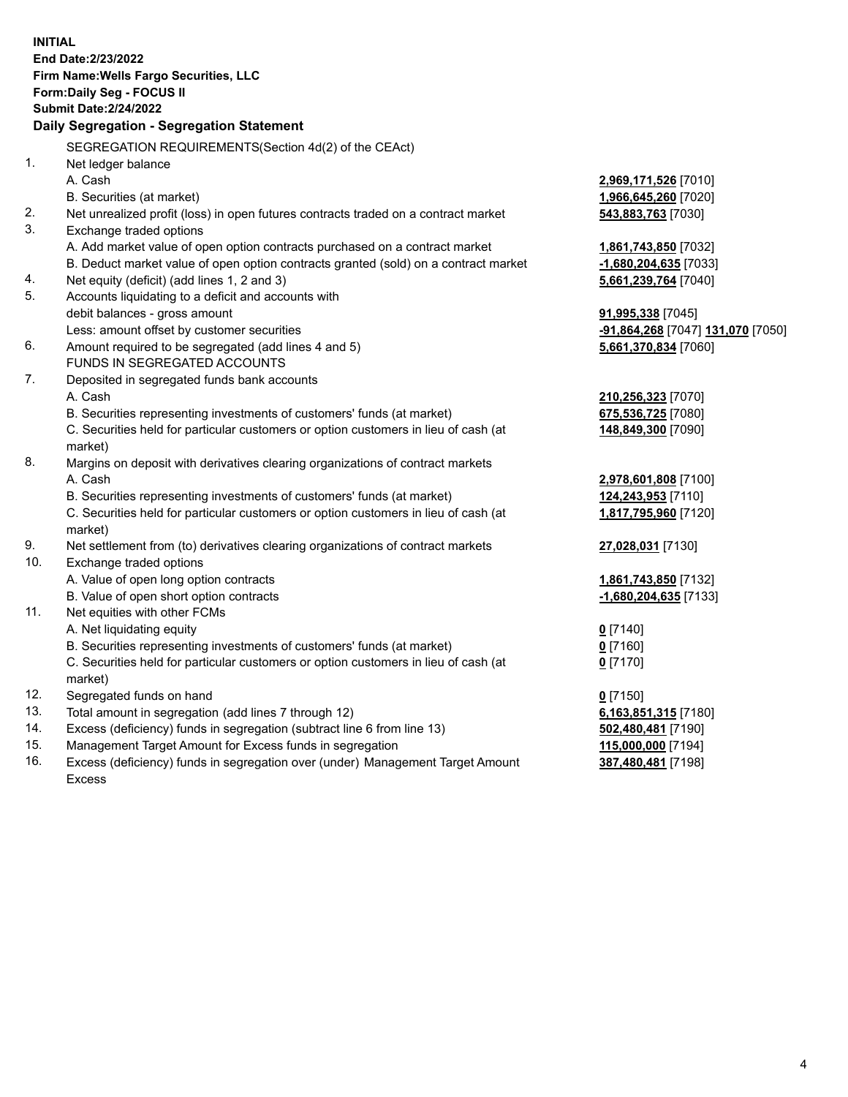**INITIAL End Date:2/23/2022 Firm Name:Wells Fargo Securities, LLC Form:Daily Seg - FOCUS II Submit Date:2/24/2022 Daily Segregation - Segregation Statement** SEGREGATION REQUIREMENTS(Section 4d(2) of the CEAct) 1. Net ledger balance A. Cash **2,969,171,526** [7010] B. Securities (at market) **1,966,645,260** [7020] 2. Net unrealized profit (loss) in open futures contracts traded on a contract market **543,883,763** [7030] 3. Exchange traded options A. Add market value of open option contracts purchased on a contract market **1,861,743,850** [7032] B. Deduct market value of open option contracts granted (sold) on a contract market **-1,680,204,635** [7033] 4. Net equity (deficit) (add lines 1, 2 and 3) **5,661,239,764** [7040] 5. Accounts liquidating to a deficit and accounts with debit balances - gross amount **91,995,338** [7045] Less: amount offset by customer securities **-91,864,268** [7047] **131,070** [7050] 6. Amount required to be segregated (add lines 4 and 5) **5,661,370,834** [7060] FUNDS IN SEGREGATED ACCOUNTS 7. Deposited in segregated funds bank accounts A. Cash **210,256,323** [7070] B. Securities representing investments of customers' funds (at market) **675,536,725** [7080] C. Securities held for particular customers or option customers in lieu of cash (at market) **148,849,300** [7090] 8. Margins on deposit with derivatives clearing organizations of contract markets A. Cash **2,978,601,808** [7100] B. Securities representing investments of customers' funds (at market) **124,243,953** [7110] C. Securities held for particular customers or option customers in lieu of cash (at market) **1,817,795,960** [7120] 9. Net settlement from (to) derivatives clearing organizations of contract markets **27,028,031** [7130] 10. Exchange traded options A. Value of open long option contracts **1,861,743,850** [7132] B. Value of open short option contracts **-1,680,204,635** [7133] 11. Net equities with other FCMs A. Net liquidating equity **0** [7140] B. Securities representing investments of customers' funds (at market) **0** [7160] C. Securities held for particular customers or option customers in lieu of cash (at market) **0** [7170] 12. Segregated funds on hand **0** [7150] 13. Total amount in segregation (add lines 7 through 12) **6,163,851,315** [7180] 14. Excess (deficiency) funds in segregation (subtract line 6 from line 13) **502,480,481** [7190] 15. Management Target Amount for Excess funds in segregation **115,000,000** [7194] 16. Excess (deficiency) funds in segregation over (under) Management Target Amount **387,480,481** [7198]

Excess